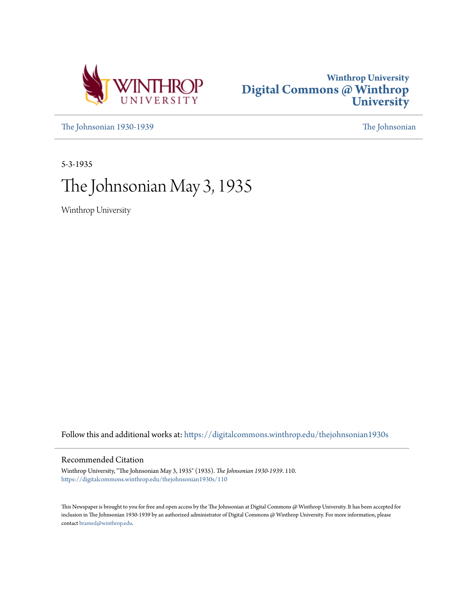



[The Johnsonian 1930-1939](https://digitalcommons.winthrop.edu/thejohnsonian1930s?utm_source=digitalcommons.winthrop.edu%2Fthejohnsonian1930s%2F110&utm_medium=PDF&utm_campaign=PDFCoverPages) [The Johnsonian](https://digitalcommons.winthrop.edu/thejohnsonian_newspaper?utm_source=digitalcommons.winthrop.edu%2Fthejohnsonian1930s%2F110&utm_medium=PDF&utm_campaign=PDFCoverPages)

5-3-1935

# The Johnsonian May 3, 1935

Winthrop University

Follow this and additional works at: [https://digitalcommons.winthrop.edu/thejohnsonian1930s](https://digitalcommons.winthrop.edu/thejohnsonian1930s?utm_source=digitalcommons.winthrop.edu%2Fthejohnsonian1930s%2F110&utm_medium=PDF&utm_campaign=PDFCoverPages)

# Recommended Citation

Winthrop University, "The Johnsonian May 3, 1935" (1935). *The Johnsonian 1930-1939*. 110. [https://digitalcommons.winthrop.edu/thejohnsonian1930s/110](https://digitalcommons.winthrop.edu/thejohnsonian1930s/110?utm_source=digitalcommons.winthrop.edu%2Fthejohnsonian1930s%2F110&utm_medium=PDF&utm_campaign=PDFCoverPages)

This Newspaper is brought to you for free and open access by the The Johnsonian at Digital Commons @ Winthrop University. It has been accepted for inclusion in The Johnsonian 1930-1939 by an authorized administrator of Digital Commons @ Winthrop University. For more information, please contact [bramed@winthrop.edu](mailto:bramed@winthrop.edu).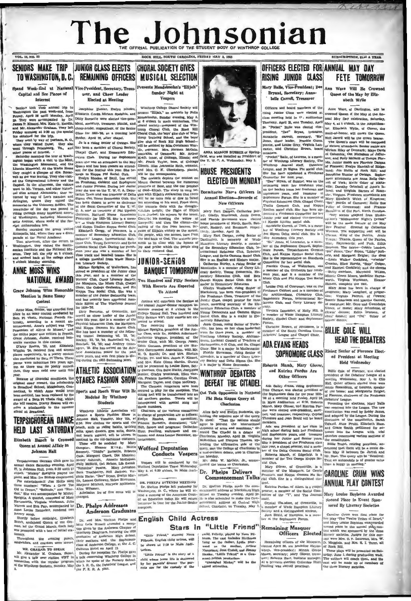# The Johnsonian HE OFFICIAL PUBLICATION OF THE STUDENT BODY

ROCK HILL SOUTH CAROLINA. FRIDAY MAY 2, 1933

**VOL. 12, NO. 25** 

# SENIORS MAKE TRIP JUNIOR CLASS ELECTS CHORAL SOCIETY GIVES TO WASHINGTON, D. C. REMAINING OFFICERS MUSICAL SELECTION

Spend Week-End at National Vice-President, Secretary, Treas-Presents Mendelssohn's "Elijah" Capital and See Places of Interest

Spelghia, A quartet, composed of Mary<br>Havasworth, Virginia Workman, Julia ren and Eva Fair, accompanied by Dr. Phelps Addresses Anne Louise



Sunday Night at Vespers

# **Anderson Graduates**

**Commencement Talks** 

DR. PHELPS ATTENDS MEETING FILELE'S ATTENDS MEETING<br>Shelton Phelps left yesterday for International D. C., where he will at-<br>a meeting of the American Coun-Sci<br>s. Education todow Me

cil on Education today. He will<br>temperow in time for the Junior rreeption.

# Stars In "Little Friend"





etal City, the real category appears on the category of Cheenville, is a member of the Massguerrs. La Cercle Francisco, and Kappa Gamma Nu So-Dr. Shelton Phelps made the com-

rg High at- memorient address at Blacksburg High m- School on Taraday evening, April 30.<br>17 Hr is also scheduled to make the Com-<br>18 Hr memorient address at Ceutral High<br>18 School, Charlotte, on Tuesday, May 7.

car,<br>Cryslal Theodore, of Greenville,<br>member of Wade Hampton Literation:<br>corrity and a distinguished student.<br>Joan Braid, of Hampton, is a men<br>or of the Sophomore Porum.

...<br>Б

.<br>strina Pardue, of Aiken, is a char-

or, a member of the Social Com-<br>e of the "T", and The Journal

child, Felicity, played by Nova Pilbean, The cast includes Matheson<br>Lang us the failure, Lydia Shervard as the modeler, Arthur<br>Wargetson, Jean Cadell, and Jimmy<br>Hangetson, Jean Cadell, and Jimmy<br>Hanley, "Little Friend" is nost-British production.<br>"Shanghai Mickey" will be the<br>dded attraction.

# OFFICERS FLECTED FOR ANNUAL MAY DAY RISING JUNIOR CLASS **FETE TOMORROW** Mary Balle, Vice-President: Dee

Bryant, Secretary; Anna-

belle Carroll, Treasurer

Ann Ware Will Be Crowned Queen of the May by Elizabeth Wylle

SUBSCRIPTION, \$1.00 A VEAR.

Devessel

# **CAROLINE CRUM WINS** ANNUAL PLAY CONTEST

Mary Louise Boylston Awarded Second Place in Event Suonsored By Literary Societies

From the distinguished students.<br>
Society and a distinguished student.<br>
Society and a distinguished student.<br>
Society and a distinguished student.<br>
For physical particle of Bamping and the Sophence Porum.<br>
In the physical

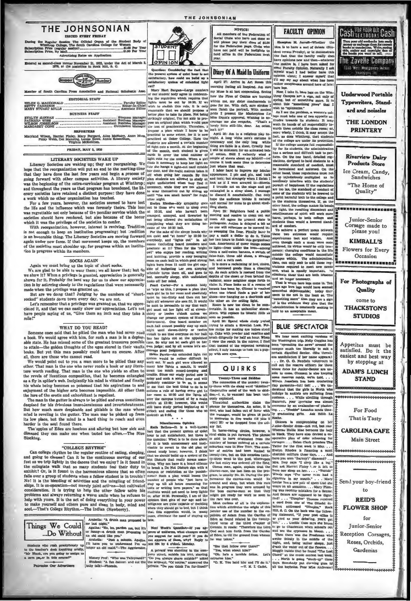# THE JOHNSONIAN

 $t$  Rody  $t$ The Official Organ of the St Per Yes

Ir 21, 1923, under the Act of March :<br>in Rock Hill, R. C. Mass



|                                                                                                                                                                                                                                                                                       | Question: Combiniting the fact that<br>the present system of quiet hour is not      | Diary Of A Maid In Uniform                                                                                                                                     | myself what I had better have this<br>opinion about; I answer myself that                                         | Philadelphia, Pa                            |
|---------------------------------------------------------------------------------------------------------------------------------------------------------------------------------------------------------------------------------------------------------------------------------------|-------------------------------------------------------------------------------------|----------------------------------------------------------------------------------------------------------------------------------------------------------------|-------------------------------------------------------------------------------------------------------------------|---------------------------------------------|
|                                                                                                                                                                                                                                                                                       | satisfactory, how could we build up a                                               |                                                                                                                                                                | I'll say my say about what has been                                                                               |                                             |
|                                                                                                                                                                                                                                                                                       | satisfactory system of extended light<br>cut?                                       | April 27: Arrive in Art Room this                                                                                                                              | rather conspicuous around here of late:                                                                           |                                             |
| Member of South Carolina Press Association and National Scholastic Asso.                                                                                                                                                                                                              | Mary Hart Dargan-Large numbers                                                      | morning feeling all Inspired. Am sure<br>my Muse is at last cooperating, Seeing                                                                                | bare legg.                                                                                                        |                                             |
|                                                                                                                                                                                                                                                                                       | of our student body agree in condemn-                                               |                                                                                                                                                                | Now, I take it, bare lags on the Win-<br>how the Pires of Genius are burning throp Campus are a sign, not only of | <b>Underwood Portable</b>                   |
| <b>EDITORIAL STAFF</b>                                                                                                                                                                                                                                                                | ing the regulation which requires that<br>lights must be out by 10:30, If we        | within me, my sister condescends to                                                                                                                            | spring, but of something more. It is                                                                              | <b>Typewriters, Stand-</b>                  |
|                                                                                                                                                                                                                                                                                       | wish to abolish this rule, it is only                                               | pose for me. With deft, sure strokes I                                                                                                                         | about this "something more" that I                                                                                |                                             |
|                                                                                                                                                                                                                                                                                       | reasonable that we should propose a                                                 | soon :Intah the portrait, With modest                                                                                                                          | wish to "opinionize."<br>As I see the problem, a woman's col-                                                     | ard and noiseles                            |
| <b>Husiness Manager</b>                                                                                                                                                                                                                                                               | better plan to take its place. Not being                                            | pride I present the Masterpicce for<br>Miss Dunn's approval. Wishing to en-                                                                                    | lege must take one of two opposite at-                                                                            |                                             |
| EVALYN HANNAH .<br>Assistant Business Manager                                                                                                                                                                                                                                         | strikingly original, I'm not able to pro-<br>pose an original plan which would pass | courage me she remarks, "That's a                                                                                                                              | titudes towards its students. It may                                                                              | <b>THE LONDON</b>                           |
|                                                                                                                                                                                                                                                                                       | the test of practicability. Therefore, 1                                            | lovely little still-life, dear. An onion.                                                                                                                      | wash its hands of all responsibility to-                                                                          |                                             |
| <b>RKPORTERS</b>                                                                                                                                                                                                                                                                      | propose a plan which I know to be                                                   | ian't it?"                                                                                                                                                     | wards them outside the class room; or,<br>more wisely, I think, it may accept the                                 | <b>PRINTERY</b>                             |
|                                                                                                                                                                                                                                                                                       | practical to some extent, for it is now                                             | April 28: Am in a religious play to-                                                                                                                           | fact, as does Winthrop, thet students                                                                             |                                             |
| Maryland Wilson, Harriet Finley, Mary Burgard, Alloe McNaky, Anne Moss, Pinky Webb, Dot Manning, Louise Hosenblum, Pinky Webb, Dot Wirginia McEkeltben.                                                                                                                               |                                                                                     | practiced at Coker College. Here the night. A long white num's costume is<br>studerts are allowed a certain number necessary and the only long white           | of the college are under its protection.                                                                          |                                             |
|                                                                                                                                                                                                                                                                                       |                                                                                     | of light cuts a month. At the beginning thing available is a sheet. Greatly fear                                                                               | If the college accepts full responsibil-                                                                          |                                             |
| <b>FRIDAY, MAY 3, 1935</b>                                                                                                                                                                                                                                                            |                                                                                     | of the month, each student is given I will be mistaken for an animated bale                                                                                    | ity for its students, the administration<br>has a serious and difficult task to per-                              |                                             |
|                                                                                                                                                                                                                                                                                       |                                                                                     | cards to cover the total number of of cotton. Still I valiantly wind a                                                                                         | form. On the one hand, detailed reg-                                                                              | <b>Riverview Dairy</b>                      |
| LITERARY SOCIETIES WAKE UP                                                                                                                                                                                                                                                            |                                                                                     | light cuts for the month. When a sirl couple of sheets about my Midriff-(of<br>finds it necessary to keep her light on course it took some time to determine   | ulations, derigned to hold students to a                                                                          | <b>Products Store</b>                       |
| Literary Societies are waking up; they are reorganizing. We                                                                                                                                                                                                                           | lute she hangs a light-cut card outside just where that was).                       |                                                                                                                                                                | reasonable standard of conduct, must                                                                              |                                             |
| hope that the reorganization will put an end to the marking-time                                                                                                                                                                                                                      | her door, and the night matron takes it                                             | I labor hard to improve my lobular                                                                                                                             | be formulated and saforced. On the<br>other hand, these regulations must not                                      | Ice Cream, Candy,                           |
| that they have done the last few years and begin a process of                                                                                                                                                                                                                         |                                                                                     | off when going her rounds. By this appearance. I pin and pin, and tuck                                                                                         | be so injudiciously multiplied as to                                                                              | Sandwiches                                  |
| going forward with other campus activities. A literary society plan students are allowed to study at and tuck; hut strangely when I finish I                                                                                                                                          |                                                                                     |                                                                                                                                                                | needlessly interfere with the students'                                                                           |                                             |
| was the beginning of the extra-curricular program at Winthrop; inight undisturbed when they find it look as if I were arrayed in-Sheets.<br>and throughout the years as that program has broadened, the lit- necessary, while they are not allowed I trundle out on the stage and get |                                                                                     |                                                                                                                                                                | pursuit of happiness. If the regulations                                                                          | "The Home of                                |
|                                                                                                                                                                                                                                                                                       |                                                                                     | to wear themselves out by sitting up entangled in a stray sheet. I manage                                                                                      | are too lax, the standard of conduct of                                                                           | Quality"                                    |
| erary societies have retained a distinct purpose: they have done                                                                                                                                                                                                                      |                                                                                     | until "the wee small hours" for night to discard it nonchalantly. Can only                                                                                     | some of the students will be lowered to<br>a point harmful both to the college and                                |                                             |
| a work which no other organization has touched.                                                                                                                                                                                                                                       | after night.                                                                        | hope the audience thinks it natural                                                                                                                            | to the students themselves. If, on the                                                                            |                                             |
| For a few years, however, the societies seemed to have lost<br>the life and the influence which was formerly theirs. This loss out to those we want to sleep even ding sheets.                                                                                                        |                                                                                     | Evelyn Rhodes-My sympathy goes and normal for nums to go about shed-                                                                                           | other hand, the college makes its bonds                                                                           |                                             |
| was regrettable not only because of the peculiar service which the at 10:30, and who haven't been                                                                                                                                                                                     |                                                                                     | April 29: Neighbors hold a public                                                                                                                              | too light, the resulting discontent and                                                                           | 有望的老年等第三位的名词复数的名词复数                         |
| societies should have rendered, but also hecause of the honor                                                                                                                                                                                                                         |                                                                                     | cramped, annoyed, and thwarted by meeting and resolve to clean out our                                                                                         | rebelliousness of spirit will work more<br>harm, perhaps, to both college and                                     |                                             |
| which it was the privilege of the societies to confer.                                                                                                                                                                                                                                |                                                                                     | not being allowed the satisfaction of room. All agree its present state is                                                                                     | students than would a lowered stand-                                                                              | Junior-Senior                               |
| With reorganization, however, interest is reviving. Tradition                                                                                                                                                                                                                         | cause of the 10:30 bell.                                                            | completing what they are doing be- pathogenic. Action is delayed a bit as<br>no one will volunteer or be coerced in-                                           | ard of conduct.                                                                                                   | Corsage made to                             |
| is not enough to keep an institution progressing; but tradition                                                                                                                                                                                                                       |                                                                                     | For the sake of the sleepy heads why to sweeping tha floor. Finally have to                                                                                    | To achieve a perfect mean between                                                                                 | please you!                                 |
| is an honorable thing. The Literary Societies are moving forward                                                                                                                                                                                                                      |                                                                                     | not quiet and "st home" by 10:30 for pay a maid a dollar to do it. Takes                                                                                       | these two extremes would require<br>superbuman tact and wisdom. And                                               |                                             |
| again under new force. If that movement keeps up, the members                                                                                                                                                                                                                         |                                                                                     | everybody, and "lights out" in all her two hours to finish this gargantuan                                                                                     | even though such a mean were once                                                                                 | <b>KIMBALL'S</b>                            |
| of the societies must shoulder up; for progress within an institu-                                                                                                                                                                                                                    |                                                                                     | rooms (including board members and task. Assortment of queer things comes<br>proctors) at 117 Then for the "night to light-from under the beds-among           | achieved, its virtue would be only tem-                                                                           |                                             |
| tion is progress within its members.                                                                                                                                                                                                                                                  |                                                                                     | owl" who enjoys her reading, writing them a naif-eaten banana, a switch of                                                                                     | porary; changing conditions in the life                                                                           | <b>Flowers for Every</b>                    |
|                                                                                                                                                                                                                                                                                       |                                                                                     | and knitting, provide a cozy lounging false-hair, three odd shoes, a strange                                                                                   | outside the college would necessitate                                                                             | Occasion                                    |
| <b>SOCKS AGAIN</b>                                                                                                                                                                                                                                                                    | room on each hall in which good strong hat, and a rat's nest.                       |                                                                                                                                                                | changes within. The administration,<br>then, can only seek to add those reg-                                      |                                             |
| Again we must bring up the topic of short socks.                                                                                                                                                                                                                                      | lights burn from 11 until the girl cap-                                             | It is more a reclaiming of lost, stolen,                                                                                                                       | ulations required to meet new needs                                                                               |                                             |
| We are glad to be able to wear them; we all know that; but do                                                                                                                                                                                                                         | able of budgeting Ler own alceping                                                  | and borrowed goods than a cleaning<br>schedule turns them off, and goes to up. As each article is rescued from the                                             | and, what is equally important, 'o                                                                                |                                             |
| we show it? When a privilege is granted, appreciation is generally                                                                                                                                                                                                                    |                                                                                     | bed. normally sleepy, with unfinished depths of the closet or from behind the                                                                                  | eliminate those that are both irksome                                                                             |                                             |
| shown for it. Probably the best way for us to show our apprecia-                                                                                                                                                                                                                      | tasks off her mind.                                                                 | radiator, some neighbor steps forth to                                                                                                                         | and no longer necessary.<br>That is where have legs come in. Ten                                                  | For Photographs of                          |
| tion is by adhering closely to the regulations that were necessarily                                                                                                                                                                                                                  |                                                                                     | Fearl Carter-For a student body claim it. Place looks as if a swarm of                                                                                         | years ago bere legs would have seemed                                                                             |                                             |
| made when the privilege was granted us.                                                                                                                                                                                                                                               |                                                                                     | as 'arge as this, I propose a plan that locusts has been by. Climax is reached<br>each girl be in her room and absolutely, when one friend finds a pair of her | somewhat objectionable; today they                                                                                | Quality                                     |
| But are we doing that? Judging by the numbers of "short-                                                                                                                                                                                                                              |                                                                                     | quiet by ten-thirty and then cut her shoes-one hanging on a doorknob and                                                                                       | seem to me not in the least so. The                                                                               |                                             |
| socked" students down town every day, we are not.                                                                                                                                                                                                                                     | light off whenever she sees fit. It would the other on the ceiling light.           |                                                                                                                                                                | "something more" that they are a sign<br>of is the evidence they give that the                                    | come to                                     |
| Let's remember that a privilege was granted us, that we appre-                                                                                                                                                                                                                        | be next to impossible to say that each                                              | Room is now too clean to be com-                                                                                                                               | udministration is constantly seeking to                                                                           | <b>THACKSTON'S</b>                          |
| ciated it, and that we can easily show our appreciation. Let's not                                                                                                                                                                                                                    |                                                                                     | girl must cut her light off at eleven- fortable. It has an unfamiliar atmos-<br>thirty or iwelve o'clock unless we phere. Will replace its blissful filth as   | hold to an acceptable mean.                                                                                       |                                             |
| have people saying of us, "Give them an inch and they take a                                                                                                                                                                                                                          | change our present system of Student soon as possible.                              |                                                                                                                                                                |                                                                                                                   | <b>STUDIOS</b>                              |
| mile!"                                                                                                                                                                                                                                                                                | Government. One board member on                                                     | April 30: Spend whole study pariod                                                                                                                             |                                                                                                                   |                                             |
| WHAT DO YOU READ?                                                                                                                                                                                                                                                                     |                                                                                     | each hall cannot possibly stay up each trying to attain a Sireniah Look. Pol-                                                                                  | <b>BLUE SPECTATOR</b>                                                                                             |                                             |
| Someone once said that he pitied the man who had never read                                                                                                                                                                                                                           |                                                                                     | night until eleven-thirty or twelve low recipe for making eye lashes stand                                                                                     |                                                                                                                   |                                             |
| a book. We would agree with him, for such a man is in a deplor- has her lights out at the appointed brush diligently for half an hour. When                                                                                                                                           |                                                                                     | n'clock to see that everyone on her hall up. Cake with powder and vaseline and                                                                                 | We hear most exciting versions of                                                                                 | <b>IONACIONALISIS EXTRACTEURINE ENERGIE</b> |
| able state. He has missed some of the greatest treasures possible time. So why not let each girl be her I wiew the result in the mirror, I find                                                                                                                                       |                                                                                     |                                                                                                                                                                | the Washington trip. Nelly Coggins has                                                                            |                                             |
| to attain-the golden thoughts of the ages stored in their vaults own judge; and by all means let's en- that instead of the expected ravishing                                                                                                                                         |                                                                                     |                                                                                                                                                                | been "spreading the news" around the                                                                              | Appetites must be                           |
|                                                                                                                                                                                                                                                                                       | courage good judgment.                                                              | effect, I only manage to look like a pup-                                                                                                                      | campus much too liberally to suit a                                                                               | satisfied. Do it the                        |
| books. But yet this man possibly could have an excuse. After<br>all, there are those who cannot read.                                                                                                                                                                                 | Helen Perrin-An extended light cut py with sore eyes.                               |                                                                                                                                                                | certain dignified Seplor. (She threat-<br>ens annihilation if her name appears.)                                  | easiest and best way                        |
| We would point out to you a man more to be pitted than any work out. If each girl were sllowed so                                                                                                                                                                                     | system would be rather difficult to                                                 |                                                                                                                                                                | Dr. G. G. Naudain volunteers to                                                                                   | by stopping at                              |
| other. That man is the one who never reads a book or any litera- many late lights a mouth, it would!                                                                                                                                                                                  |                                                                                     | $Q$ <sup><math>  </math></sup> $D$ $V$ $C$                                                                                                                     | call out the reserve officers for those                                                                           |                                             |
|                                                                                                                                                                                                                                                                                       |                                                                                     |                                                                                                                                                                |                                                                                                                   |                                             |

We would point out to you a man more to be pitied than any other. That man is the one who never reads a book or any litera-<br>ture worth reading. That man is the one who pever reads a book or any literathe revels of licentious composition, that he becomes entangled<br>as a fly in spider's web. Incipiently his mind is vitiated and finally<br>his whole being becomes so poisoned that his aspirations to and endowned of the higher arts becomes impossible. All other than<br>the lure of the erotic and exhorbitant is repellent.

The man in the gutter is always to be pitled and even sometimes despised for his frivolous immoderateness and invertebrateness.<br>But how much more despicable and pitiable is the man whose mind is reveling in the gutter. The man may be picked up from<br>its low place, but the mind is a hard thing to reach and even

# 

| Things We Could Anathan This bight." | Arabella: "A drunk man |
|--------------------------------------|------------------------|



THE JOHNSONIAN

will please



 $\alpha$  $\cdot$  Const. alow the fact that Coundering the fact that<br>priem of quiet hour is not<br>how could we build up a<br>putem of exiended light ry, how con<br>ry, how con<br>ry system

compass poor puesses and the rather difficult to the set of the set of the rather difficult is the set of the set of the set of the set of the set of the set of the set of the set of the set of the set of the set of the s

NOTICE! review:<br>
a member of the Federation of<br>
al Citals who have not done at<br>
please pay their dues of \$1,00<br>
the Federation page. Citals who<br>
is not paid will be ineligible to<br>
office in the Federation next ig.

m M. Jan save a r nt versus Preulty), or to demi he fact that the fac sinions now and then-whateve ne Paculty Opi tion, Natur Diary Of A Maid In Uniform

## some racuty opinion. rate on this raelf that I'll say my say about wh April 27: Arrive in Art Room th

**FACULTY OPINION** 

ulty really doe

 $\frac{1}{\sqrt{2}}$   $\frac{1}{\sqrt{2}}$ 

the Waanispon trip, Neily Cogtins has<br>been "spreading the news" around the campus much too liberally to suit a<br>general method of the news around the certain displified Sechor. (She in<br>reast-<br> $\ldots$ . Dr. O. O. Nautkin volum

don,-1:  $\sigma_1$  outsided.<br>
Theatical authorities claim the Democratic processes phrase for the<br>material. An actor, it is overcome by said, who had false ... Though<br>
the manager, would be given if parts  $[1y \mod 100]$ <br>
to min

Cash TEXTBOOKS

talations

The Zavelle Company

1330 West Montgomery Avenue

Cash

1806000

**ADAM'S LUNCH STAND** 

For Food That is Tasty

**CAROLINA CAFE** 

**REID'S** 

**FLOWER SHOP** 

Junior-Senior Reception Corsages, Roses, Orchids, Gardenias

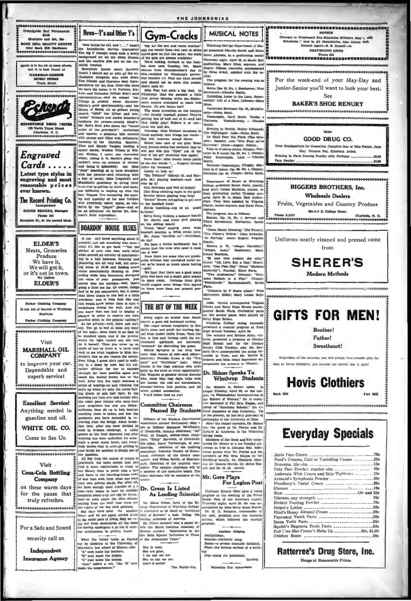(SOKOORGOKOORDEGOKOORGOKOKONOMINGOKOORGO oquignole End Permane<br>\$3.00<br>Shampoo and Set, 50c Gym-Cracks NOTICE<br>
NOTICE<br>
Teyhound Bus Schedules Effective May 1, 1935<br>
" ated in All Dormitories, Also Joynes Hall.<br>
Consult Agent--E. B. Russell-at News-Y's and Other Y's **MUSICAL NOTES INFORMED STATES AND UTIDE TS AND UTIDE TS (CONSIDENT SURFACT TO THE SURFACT THE CAN ARRESS (The Interaction control in the sum and warm weather" which the sum and warm weaker" between the sum and warm with discussions of** nges in Orayh ORREST BEAUTY SHOP Winthron College Department of Mu- $C<sub>0</sub>$ GRETHOUND LINES ted Claudia Smith and Helon Fhone 555<br>The was all the second and the second and the second and the second and second and second and second and second Scott, pla ts, in a graduating recital Thursday night, April 25, in Music Hall antronay might, April 25, in equate East<br>auditorium. Mary Moss, soprano, and<br>Argen: Olbson, contralto, accompanied<br>by Gene Arant, antisted with the reic is in the air at some pla<br>but it is best found at WORKMAN-GREE For the week-end of your May-Day and The program for the evening was as Trade Street Junior-Senior you'll want to look your best. Sonta Ops 10, No. 1, Beethoven: First Unfolding, Lover in the Lane, Re  $S_{\text{PR}}$ ction: Life of a R Esterat **BAKER'S SHOE RENURY** aoss.<br>Variations Berieuses Op. 54, Me \*\*\*\*\*\*\*\*\*\*\*\*\*\*\*\*\*\*\*\*\*\*\*\*\* -Helen S swalin "elect" her hither and you.<br>
"Hank" Wilson's and John" will be a more "electric power and your". (condities a<br> $50^\circ$  premotion and allocate the "turns" (condities for premotion<br>predictive state"). (condities in the Oyril Scott; Tr Noting in Swille, Walter Nelmann;<br>
The Nighting<br>
in Limit-Telen Scott, The Shall Pree Eins Freeh (The Messian, Hand Pree Eins Freeh CTs<br>
Eins, Handel; Aria "CTs Pare Ser-<br>
Vales in Gaarp minor, Crapin, Noting<br>
in Limits in ting in Seville, Walte GOOD DRUG CO. Your Headquarters for Cosmetics, Complete line of Max P Hay, Princess Pat, El ech Arden. Engraved Evening in Paris Dusling Porcher with Perfume. Page 14  $Cards...$ Latest type styles in<br>engraving and most<br>reasonable prices at of Music of W  $\sqrt{2}$  as Hoffman and Neil at tennial colleges presented for Muile of Winkings Hoffman and Neil at tennial colleges presented Showh Patts, planks, in Herrick Moore playing leap freel their grantinding recision of the mod **BIGGERS BROTHERS, Inc.** ever known. **Wholesale Dealers** The Record Printing Co. Fruits, Vegetables and Country Produce to the baseball field! Incorps ROGER BROOKS, Ma oprano.<br>The program was as fol 501-3-5 B. College Street by lance Phone 3,3137 Phone 164 am's little expression). Belva Craig walking a balance board!<br>Dr. Jarrell and Little Nell playing Sonata, Op. 14, No. 1, Seeond and<br>Third Movements, Beethovcu; Sarah \*\*\*\*\*\*\*\*\*\*\*\*\*\*\*\*\* son St., In the se or. Jarren and Little reci playing<br>on the sliding board!<br>Tirzah "Mae" staying away from<br>baseball practice to drink prune juice. **BOARDIN' HOUSE BLUES** Faris. "Come Sweet Morning." Gld Freuch "The Plaher's Widow," Clara Edwards;<br>"At Parting," Jame, Rogers; Virginia Mr. Jones "winding up"---mairidan, we have a tennis backboard; but it meet a<br>set and the ones who need it meet as we have a tennis backboard; but it use<br>it meet the ones who need it meet and the strain at the state with b Mr. Jones "winding up"-individual, If you on't know anything about it Uniforms neatly cleaned and pressed come If you only known anything about it<br>just not increase anything about it is like to prechect <sup>-----</sup>bin the<br>shelter of your own four sends after the shelter of your own four sends after<br>the shelter of your own four sends a Clarke **ELDER'S** Bonata p. 78, 'Adagio Cantabile,"<br>Allegro Aasal," Besthoven; Mary Sansta p. 76, 'Adagio Orntabile,''<br> "Aliegro Aaci,'' Besthoven; Mary Louise Boylicia, "Semberen; Mary Louise Bester, "Sans were a water, des alles, Aria, Two Arabic Cone Philo Day ("Denoth Butterfly"), Pacchi, 27 Electric from Meats, Groceries Produce **SHERER'S** We have it, We will get it, Modern Methods or it's not in town. **ELDER'S** erto in F sharp mino<br>mt, Hiller; Mary Loui newhere, but it see to be put sor that three chairs in one bed is a little rdone; and it does look like an ston.<br>
Julia Varren accompanded Virginia<br>
Julia Varren accompanded Virginia<br>
Clarke and Bekiy Rippe Brown accom-<br>
Den Den Schein (Barke Brown)<br>
Winthop College acting ences<br>
Bekiy kippe Brown.<br>
Winthop College acting ences overwhere, and a worst base and the base and the following product that is the wall. And did you know that one had to disply a precious nitch in the popular hallway? nied Virgini ter Ch  $m<sub>S</sub>$ THE HIT OF THE WEEK Is not out of bounds to **GIFTS FOR MEN! Students** Every night on second floor 8<br>here's a good old fashloned revive Clothing Co precious micro may popular intensity and the state and the AS of the privacy—well, there yield have by the privacy of the match, and the state and the proton of the match of the match of the match of the state of the stat As for privacy-well, there just isn there's a good old issuements in Orner The cager crowds congregate in Orner and await the starting sig-<br>nal from and await the starting sig-<br>nal from leader Callie Crum. Then the Brother!  $\sim$  and from its<br>action of the Sattler California. Then the contraction of the function<br>is contracted to the contraction of the contraction of the contraction<br>of the contraction of the contraction of the contraction of t Father! Visit Sweetheart! MARSHALL OIL<br>COMPANY Regardless of the occasion, you will always find suitable gifts for to improve your car. men at Hoyls Clothiers, just around the cornor, but it pays! Dependable and Dr. Shiner Speaks To superb servicel Winthrop Students **Hovis Clothiers** Dr. William A. Bhiter spoke is closed Tuesday, April 30, an the small pletter at Woman. He is corrected to give the space of "hand the Sphere of "hand state point" the corrected polarity of the first state of "hand strep 666666666 morning you turn over and stretch with<br>the other poor victims who were one your melghbors but now are fellow-<br>sufferers, then sit up in bed, because<br>standing room is taken, and don the<br>standing room is taken, and don the **Excellent Service! Committee Chairmen** Anything needed in **Named By Students Named Dy JULucines** (i.e. line means (i.e. the present, he has deen of the Suite of the Suite of the Suite of the Suite of Association elected Wednesday, May 1.) After the chapter between the stress are at folders: Marga standing room is taken, and don the same<br>rest of the receiving from the delaye. About break-trieving from the delaye. About break-<br>fast time, after you have occident to the standard standard standard standard standard sta gasoline and oil. WHITE OIL CO. **Everyday Specials** Come to See Us. bers of the Book and Key such the Share at a tea Tuesday afternoon at 4:30 in Johnson Hall, Addi-<br>croson at 4:30 in Johnson Hall, Addi-<br>toual guests were Cr. Phelps and the<br>members of Phi Beta Kappa on the your trunk for another is simply out of<br>
Your constant for another is simply out of<br>
Like degrading.<br>
The quantion,<br>
All day longer the constants to study in<br>
(Inte likewary than to perchable to study in<br>
(Intel likewary Junis Face Cream Winthrop faculty, Dr. Elimbeth John-Visit on. Dr. Donnis Martin, Dr. Helen Bus **Coca-Cola Bottling** For Legion Post<br>
For Legion Post<br>
Frocessor Entret Ure ave a visite professor Entret Over ave a visite professor Entret de meeting of the Fremchan Legion.<br>
The Care Green, heat of the Bi-Thursday aight. April 25. He was a Armand's Symphonie Powder ....<br>Woodbury's Facial Cream Company on these warm days Kleenex . Mum ... for the pause that Oderono, any strength \_\_\_\_\_\_\_\_\_\_\_\_\_\_ truly refreshes. Hudnut Dusting Powder ........... 000000000000000000 Pepsodent Tooth Paste \_\_\_\_\_\_\_\_\_\_\_\_\_\_ -------------------------For a Safe and Sound What the future holds as figured out by students in the University of Minnessia law achool at Minnes polls: "A" nen make the teachers. security call on She is went<br>She are gone,<br>I no can see her<br>Sha no can see me.<br>Don't it awful? Ratterree's Drug Store, Inc. Independent slang for policeman **Insurance Agency** Bulldog Drugs at Reasonable Prices "C" men make the money.<br>"And," added a wit, "the 'D' Petronize Our Advert The Parier-Vou.

THE JOHNSONIAN

\$1.00

\$1.00

Charlotte, N. C.

 $250$ 

 $.15<sub>c</sub>$ 

**R<sub>R</sub>** 

 $25c$ 

 $\overline{25c}$ 

 $19c$ 

The

 $30<sub>0</sub>$ 

3be

 $33<sub>e</sub>$ 

984

 $33<sub>c</sub>$ 

.10c and 33c